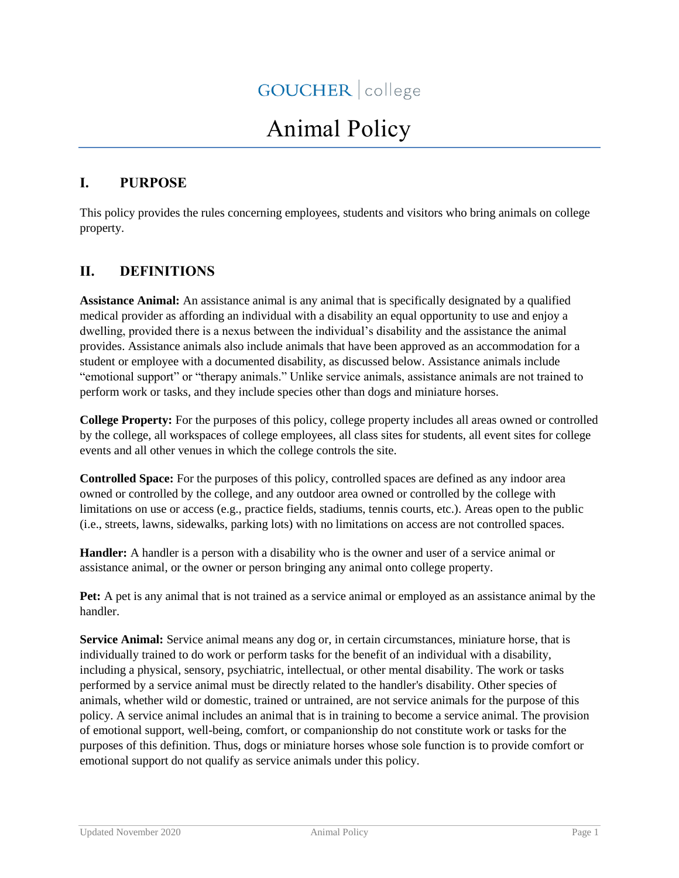# Animal Policy

# **I. PURPOSE**

This policy provides the rules concerning employees, students and visitors who bring animals on college property.

# **II. DEFINITIONS**

**Assistance Animal:** An assistance animal is any animal that is specifically designated by a qualified medical provider as affording an individual with a disability an equal opportunity to use and enjoy a dwelling, provided there is a nexus between the individual's disability and the assistance the animal provides. Assistance animals also include animals that have been approved as an accommodation for a student or employee with a documented disability, as discussed below. Assistance animals include "emotional support" or "therapy animals." Unlike service animals, assistance animals are not trained to perform work or tasks, and they include species other than dogs and miniature horses.

**College Property:** For the purposes of this policy, college property includes all areas owned or controlled by the college, all workspaces of college employees, all class sites for students, all event sites for college events and all other venues in which the college controls the site.

**Controlled Space:** For the purposes of this policy, controlled spaces are defined as any indoor area owned or controlled by the college, and any outdoor area owned or controlled by the college with limitations on use or access (e.g., practice fields, stadiums, tennis courts, etc.). Areas open to the public (i.e., streets, lawns, sidewalks, parking lots) with no limitations on access are not controlled spaces.

**Handler:** A handler is a person with a disability who is the owner and user of a service animal or assistance animal, or the owner or person bringing any animal onto college property.

**Pet:** A pet is any animal that is not trained as a service animal or employed as an assistance animal by the handler.

**Service Animal:** Service animal means any dog or, in certain circumstances, miniature horse, that is individually trained to do work or perform tasks for the benefit of an individual with a disability, including a physical, sensory, psychiatric, intellectual, or other mental disability. The work or tasks performed by a service animal must be directly related to the handler's disability. Other species of animals, whether wild or domestic, trained or untrained, are not service animals for the purpose of this policy. A service animal includes an animal that is in training to become a service animal. The provision of emotional support, well-being, comfort, or companionship do not constitute work or tasks for the purposes of this definition. Thus, dogs or miniature horses whose sole function is to provide comfort or emotional support do not qualify as service animals under this policy.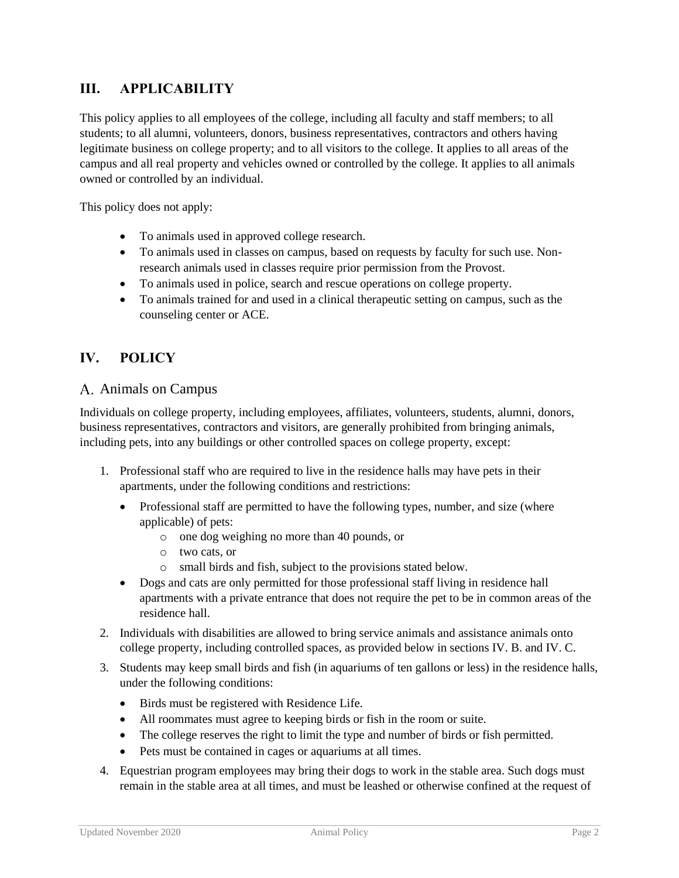# **III. APPLICABILITY**

This policy applies to all employees of the college, including all faculty and staff members; to all students; to all alumni, volunteers, donors, business representatives, contractors and others having legitimate business on college property; and to all visitors to the college. It applies to all areas of the campus and all real property and vehicles owned or controlled by the college. It applies to all animals owned or controlled by an individual.

This policy does not apply:

- To animals used in approved college research.
- To animals used in classes on campus, based on requests by faculty for such use. Nonresearch animals used in classes require prior permission from the Provost.
- To animals used in police, search and rescue operations on college property.
- To animals trained for and used in a clinical therapeutic setting on campus, such as the counseling center or ACE.

# **IV. POLICY**

#### A. Animals on Campus

Individuals on college property, including employees, affiliates, volunteers, students, alumni, donors, business representatives, contractors and visitors, are generally prohibited from bringing animals, including pets, into any buildings or other controlled spaces on college property, except:

- 1. Professional staff who are required to live in the residence halls may have pets in their apartments, under the following conditions and restrictions:
	- Professional staff are permitted to have the following types, number, and size (where applicable) of pets:
		- o one dog weighing no more than 40 pounds, or
		- o two cats, or
		- o small birds and fish, subject to the provisions stated below.
	- Dogs and cats are only permitted for those professional staff living in residence hall apartments with a private entrance that does not require the pet to be in common areas of the residence hall.
- 2. Individuals with disabilities are allowed to bring service animals and assistance animals onto college property, including controlled spaces, as provided below in sections IV. B. and IV. C.
- 3. Students may keep small birds and fish (in aquariums of ten gallons or less) in the residence halls, under the following conditions:
	- Birds must be registered with Residence Life.
	- All roommates must agree to keeping birds or fish in the room or suite.
	- The college reserves the right to limit the type and number of birds or fish permitted.
	- Pets must be contained in cages or aquariums at all times.
- 4. Equestrian program employees may bring their dogs to work in the stable area. Such dogs must remain in the stable area at all times, and must be leashed or otherwise confined at the request of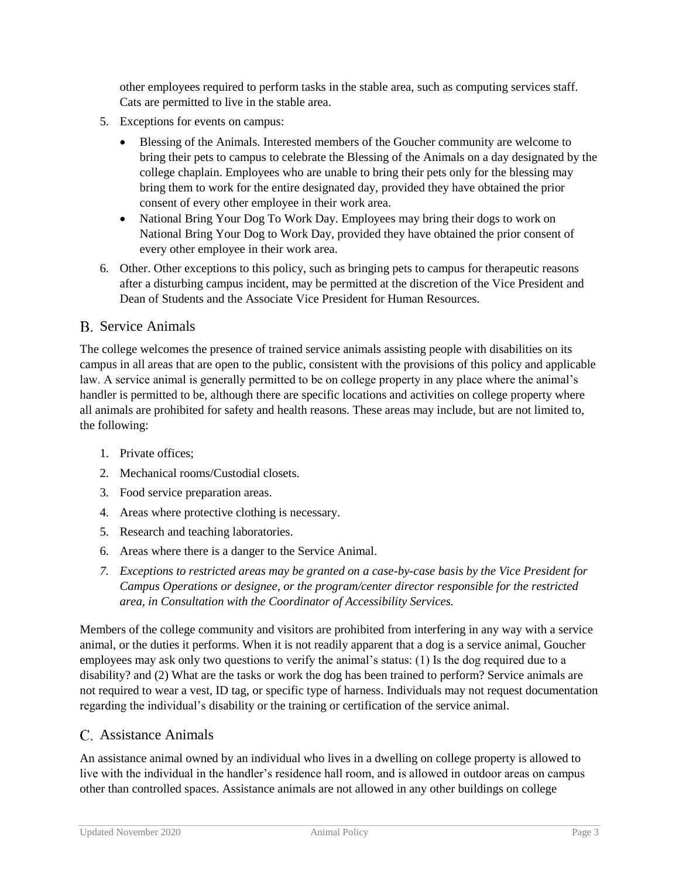other employees required to perform tasks in the stable area, such as computing services staff. Cats are permitted to live in the stable area.

- 5. Exceptions for events on campus:
	- Blessing of the Animals. Interested members of the Goucher community are welcome to bring their pets to campus to celebrate the Blessing of the Animals on a day designated by the college chaplain. Employees who are unable to bring their pets only for the blessing may bring them to work for the entire designated day, provided they have obtained the prior consent of every other employee in their work area.
	- National Bring Your Dog To Work Day. Employees may bring their dogs to work on National Bring Your Dog to Work Day, provided they have obtained the prior consent of every other employee in their work area.
- 6. Other. Other exceptions to this policy, such as bringing pets to campus for therapeutic reasons after a disturbing campus incident, may be permitted at the discretion of the Vice President and Dean of Students and the Associate Vice President for Human Resources.

#### B. Service Animals

The college welcomes the presence of trained service animals assisting people with disabilities on its campus in all areas that are open to the public, consistent with the provisions of this policy and applicable law. A service animal is generally permitted to be on college property in any place where the animal's handler is permitted to be, although there are specific locations and activities on college property where all animals are prohibited for safety and health reasons. These areas may include, but are not limited to, the following:

- 1. Private offices;
- 2. Mechanical rooms/Custodial closets.
- 3. Food service preparation areas.
- 4. Areas where protective clothing is necessary.
- 5. Research and teaching laboratories.
- 6. Areas where there is a danger to the Service Animal.
- *7. Exceptions to restricted areas may be granted on a case-by-case basis by the Vice President for Campus Operations or designee, or the program/center director responsible for the restricted area, in Consultation with the Coordinator of Accessibility Services.*

Members of the college community and visitors are prohibited from interfering in any way with a service animal, or the duties it performs. When it is not readily apparent that a dog is a service animal, Goucher employees may ask only two questions to verify the animal's status: (1) Is the dog required due to a disability? and (2) What are the tasks or work the dog has been trained to perform? Service animals are not required to wear a vest, ID tag, or specific type of harness. Individuals may not request documentation regarding the individual's disability or the training or certification of the service animal.

#### Assistance Animals

An assistance animal owned by an individual who lives in a dwelling on college property is allowed to live with the individual in the handler's residence hall room, and is allowed in outdoor areas on campus other than controlled spaces. Assistance animals are not allowed in any other buildings on college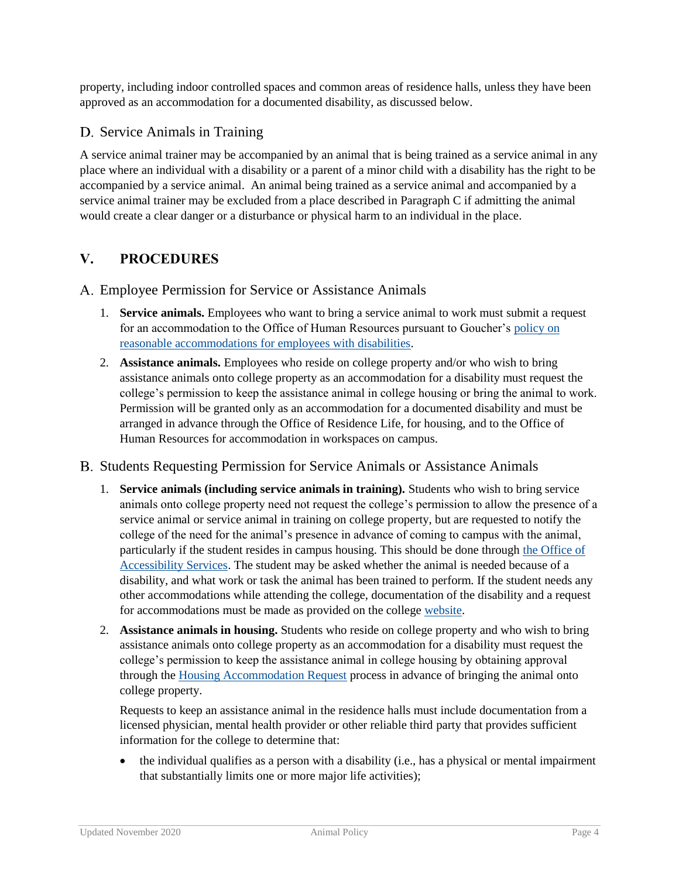property, including indoor controlled spaces and common areas of residence halls, unless they have been approved as an accommodation for a documented disability, as discussed below.

## D. Service Animals in Training

A service animal trainer may be accompanied by an animal that is being trained as a service animal in any place where an individual with a disability or a parent of a minor child with a disability has the right to be accompanied by a service animal. An animal being trained as a service animal and accompanied by a service animal trainer may be excluded from a place described in Paragraph C if admitting the animal would create a clear danger or a disturbance or physical harm to an individual in the place.

# **V. PROCEDURES**

Employee Permission for Service or Assistance Animals

- 1. **Service animals.** Employees who want to bring a service animal to work must submit a request for an accommodation to the Office of Human Resources pursuant to Goucher's policy on [reasonable accommodations for employees with disabilities.](http://www.goucher.edu/legal-counsel/all-policies-and-procedures-a-z/reasonable-accommodations-for-employees-with-disabilities)
- 2. **Assistance animals.** Employees who reside on college property and/or who wish to bring assistance animals onto college property as an accommodation for a disability must request the college's permission to keep the assistance animal in college housing or bring the animal to work. Permission will be granted only as an accommodation for a documented disability and must be arranged in advance through the Office of Residence Life, for housing, and to the Office of Human Resources for accommodation in workspaces on campus.
- B. Students Requesting Permission for Service Animals or Assistance Animals
	- 1. **Service animals (including service animals in training).** Students who wish to bring service animals onto college property need not request the college's permission to allow the presence of a service animal or service animal in training on college property, but are requested to notify the college of the need for the animal's presence in advance of coming to campus with the animal, particularly if the student resides in campus housing. This should be done through [the Office of](https://www.goucher.edu/accessibility-services/accommodations-and-services/service-and-assistance-animals)  [Accessibility Services.](https://www.goucher.edu/accessibility-services/accommodations-and-services/service-and-assistance-animals) The student may be asked whether the animal is needed because of a disability, and what work or task the animal has been trained to perform. If the student needs any other accommodations while attending the college, documentation of the disability and a request for accommodations must be made as provided on the college [website.](http://www.goucher.edu/student-life/accessibility-services/disclosing-and-documenting-a-disability)
	- 2. **Assistance animals in housing.** Students who reside on college property and who wish to bring assistance animals onto college property as an accommodation for a disability must request the college's permission to keep the assistance animal in college housing by obtaining approval through the [Housing Accommodation Request](http://www.goucher.edu/student-life/accessibility-services/accommodations-and-services/housing-accommodations) process in advance of bringing the animal onto college property.

Requests to keep an assistance animal in the residence halls must include documentation from a licensed physician, mental health provider or other reliable third party that provides sufficient information for the college to determine that:

• the individual qualifies as a person with a disability (i.e., has a physical or mental impairment that substantially limits one or more major life activities);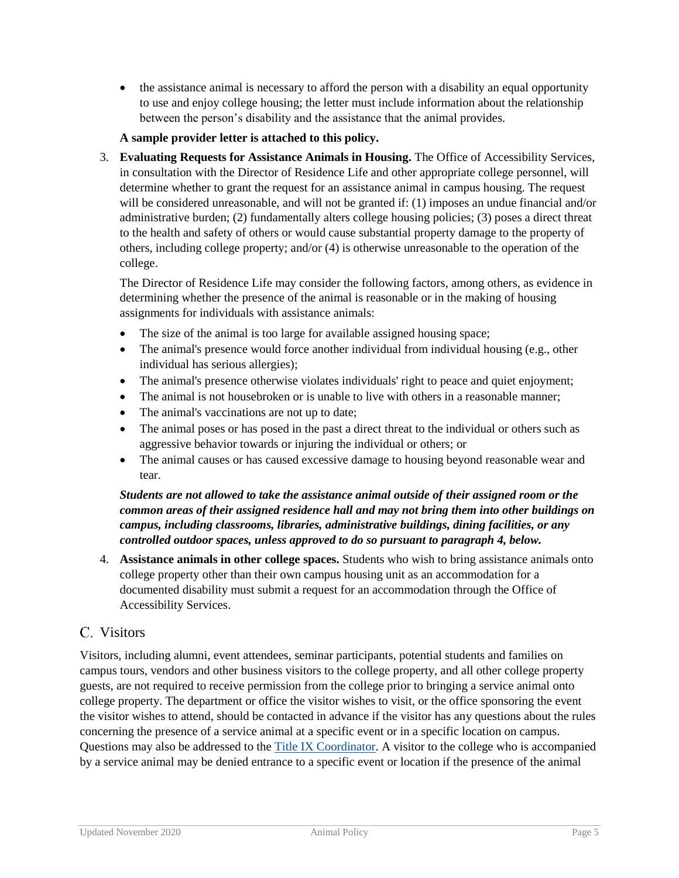• the assistance animal is necessary to afford the person with a disability an equal opportunity to use and enjoy college housing; the letter must include information about the relationship between the person's disability and the assistance that the animal provides.

#### **A sample provider letter is attached to this policy.**

3. **Evaluating Requests for Assistance Animals in Housing.** The Office of Accessibility Services, in consultation with the Director of Residence Life and other appropriate college personnel, will determine whether to grant the request for an assistance animal in campus housing. The request will be considered unreasonable, and will not be granted if: (1) imposes an undue financial and/or administrative burden; (2) fundamentally alters college housing policies; (3) poses a direct threat to the health and safety of others or would cause substantial property damage to the property of others, including college property; and/or (4) is otherwise unreasonable to the operation of the college.

The Director of Residence Life may consider the following factors, among others, as evidence in determining whether the presence of the animal is reasonable or in the making of housing assignments for individuals with assistance animals:

- The size of the animal is too large for available assigned housing space;
- The animal's presence would force another individual from individual housing (e.g., other individual has serious allergies);
- The animal's presence otherwise violates individuals' right to peace and quiet enjoyment;
- The animal is not housebroken or is unable to live with others in a reasonable manner;
- The animal's vaccinations are not up to date;
- The animal poses or has posed in the past a direct threat to the individual or others such as aggressive behavior towards or injuring the individual or others; or
- The animal causes or has caused excessive damage to housing beyond reasonable wear and tear.

#### *Students are not allowed to take the assistance animal outside of their assigned room or the common areas of their assigned residence hall and may not bring them into other buildings on campus, including classrooms, libraries, administrative buildings, dining facilities, or any controlled outdoor spaces, unless approved to do so pursuant to paragraph 4, below.*

4. **Assistance animals in other college spaces.** Students who wish to bring assistance animals onto college property other than their own campus housing unit as an accommodation for a documented disability must submit a request for an accommodation through the Office of Accessibility Services.

### Visitors

Visitors, including alumni, event attendees, seminar participants, potential students and families on campus tours, vendors and other business visitors to the college property, and all other college property guests, are not required to receive permission from the college prior to bringing a service animal onto college property. The department or office the visitor wishes to visit, or the office sponsoring the event the visitor wishes to attend, should be contacted in advance if the visitor has any questions about the rules concerning the presence of a service animal at a specific event or in a specific location on campus. Questions may also be addressed to the [Title IX Coordinator.](mailto:TitleIXCoordinator@goucher.edu) A visitor to the college who is accompanied by a service animal may be denied entrance to a specific event or location if the presence of the animal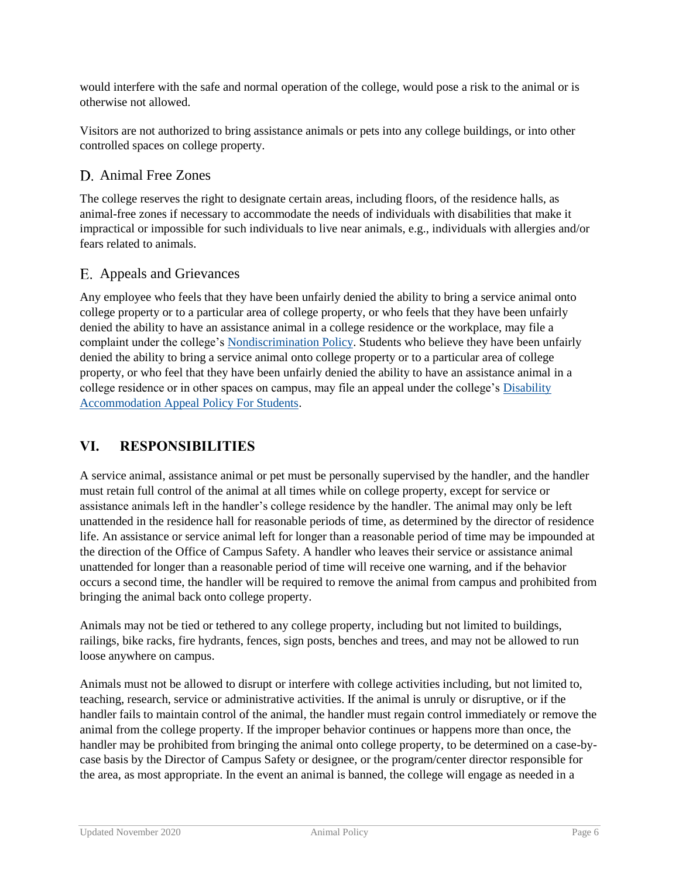would interfere with the safe and normal operation of the college, would pose a risk to the animal or is otherwise not allowed.

Visitors are not authorized to bring assistance animals or pets into any college buildings, or into other controlled spaces on college property.

# D. Animal Free Zones

The college reserves the right to designate certain areas, including floors, of the residence halls, as animal-free zones if necessary to accommodate the needs of individuals with disabilities that make it impractical or impossible for such individuals to live near animals, e.g., individuals with allergies and/or fears related to animals.

# Appeals and Grievances

Any employee who feels that they have been unfairly denied the ability to bring a service animal onto college property or to a particular area of college property, or who feels that they have been unfairly denied the ability to have an assistance animal in a college residence or the workplace, may file a complaint under the college's [Nondiscrimination Policy.](http://www.goucher.edu/legal-counsel/all-policies-and-procedures-a-z/nondiscrimination-notice-and-policy) Students who believe they have been unfairly denied the ability to bring a service animal onto college property or to a particular area of college property, or who feel that they have been unfairly denied the ability to have an assistance animal in a college residence or in other spaces on campus, may file an appeal under the college's [Disability](http://www.goucher.edu/experience/accessibility-services/)  [Accommodation Appeal Policy For Students.](http://www.goucher.edu/experience/accessibility-services/)

# **VI. RESPONSIBILITIES**

A service animal, assistance animal or pet must be personally supervised by the handler, and the handler must retain full control of the animal at all times while on college property, except for service or assistance animals left in the handler's college residence by the handler. The animal may only be left unattended in the residence hall for reasonable periods of time, as determined by the director of residence life. An assistance or service animal left for longer than a reasonable period of time may be impounded at the direction of the Office of Campus Safety. A handler who leaves their service or assistance animal unattended for longer than a reasonable period of time will receive one warning, and if the behavior occurs a second time, the handler will be required to remove the animal from campus and prohibited from bringing the animal back onto college property.

Animals may not be tied or tethered to any college property, including but not limited to buildings, railings, bike racks, fire hydrants, fences, sign posts, benches and trees, and may not be allowed to run loose anywhere on campus.

Animals must not be allowed to disrupt or interfere with college activities including, but not limited to, teaching, research, service or administrative activities. If the animal is unruly or disruptive, or if the handler fails to maintain control of the animal, the handler must regain control immediately or remove the animal from the college property. If the improper behavior continues or happens more than once, the handler may be prohibited from bringing the animal onto college property, to be determined on a case-bycase basis by the Director of Campus Safety or designee, or the program/center director responsible for the area, as most appropriate. In the event an animal is banned, the college will engage as needed in a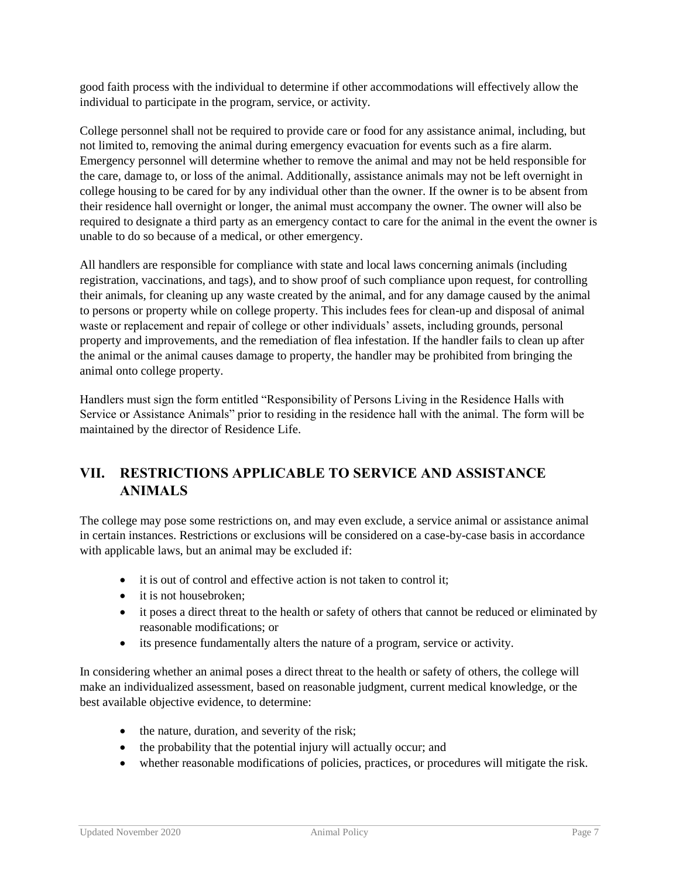good faith process with the individual to determine if other accommodations will effectively allow the individual to participate in the program, service, or activity.

College personnel shall not be required to provide care or food for any assistance animal, including, but not limited to, removing the animal during emergency evacuation for events such as a fire alarm. Emergency personnel will determine whether to remove the animal and may not be held responsible for the care, damage to, or loss of the animal. Additionally, assistance animals may not be left overnight in college housing to be cared for by any individual other than the owner. If the owner is to be absent from their residence hall overnight or longer, the animal must accompany the owner. The owner will also be required to designate a third party as an emergency contact to care for the animal in the event the owner is unable to do so because of a medical, or other emergency.

All handlers are responsible for compliance with state and local laws concerning animals (including registration, vaccinations, and tags), and to show proof of such compliance upon request, for controlling their animals, for cleaning up any waste created by the animal, and for any damage caused by the animal to persons or property while on college property. This includes fees for clean-up and disposal of animal waste or replacement and repair of college or other individuals' assets, including grounds, personal property and improvements, and the remediation of flea infestation. If the handler fails to clean up after the animal or the animal causes damage to property, the handler may be prohibited from bringing the animal onto college property.

Handlers must sign the form entitled "Responsibility of Persons Living in the Residence Halls with Service or Assistance Animals" prior to residing in the residence hall with the animal. The form will be maintained by the director of Residence Life.

# **VII. RESTRICTIONS APPLICABLE TO SERVICE AND ASSISTANCE ANIMALS**

The college may pose some restrictions on, and may even exclude, a service animal or assistance animal in certain instances. Restrictions or exclusions will be considered on a case-by-case basis in accordance with applicable laws, but an animal may be excluded if:

- it is out of control and effective action is not taken to control it;
- it is not housebroken;
- it poses a direct threat to the health or safety of others that cannot be reduced or eliminated by reasonable modifications; or
- its presence fundamentally alters the nature of a program, service or activity.

In considering whether an animal poses a direct threat to the health or safety of others, the college will make an individualized assessment, based on reasonable judgment, current medical knowledge, or the best available objective evidence, to determine:

- the nature, duration, and severity of the risk;
- the probability that the potential injury will actually occur; and
- whether reasonable modifications of policies, practices, or procedures will mitigate the risk.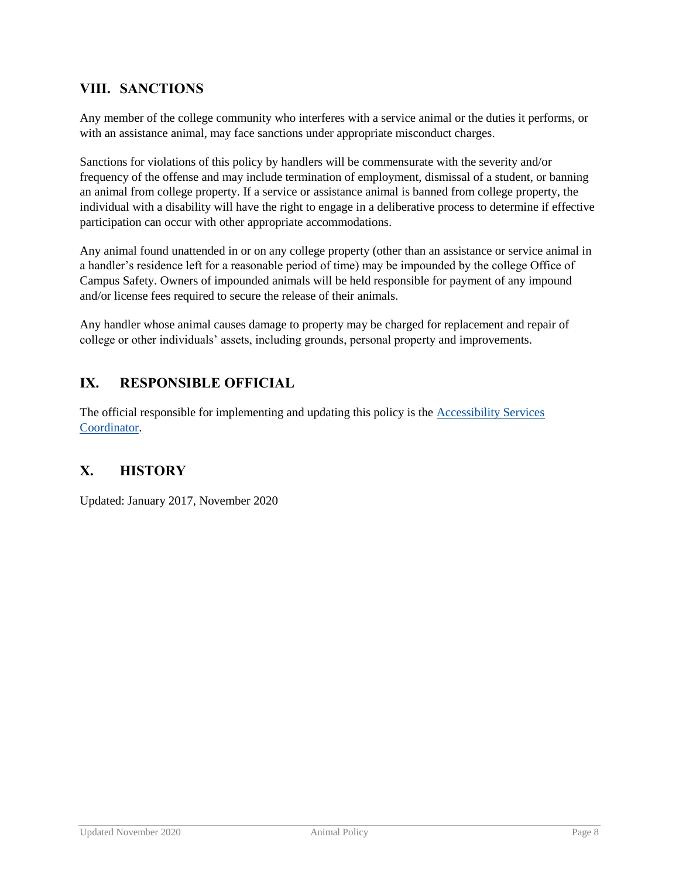# **VIII. SANCTIONS**

Any member of the college community who interferes with a service animal or the duties it performs, or with an assistance animal, may face sanctions under appropriate misconduct charges.

Sanctions for violations of this policy by handlers will be commensurate with the severity and/or frequency of the offense and may include termination of employment, dismissal of a student, or banning an animal from college property. If a service or assistance animal is banned from college property, the individual with a disability will have the right to engage in a deliberative process to determine if effective participation can occur with other appropriate accommodations.

Any animal found unattended in or on any college property (other than an assistance or service animal in a handler's residence left for a reasonable period of time) may be impounded by the college Office of Campus Safety. Owners of impounded animals will be held responsible for payment of any impound and/or license fees required to secure the release of their animals.

Any handler whose animal causes damage to property may be charged for replacement and repair of college or other individuals' assets, including grounds, personal property and improvements.

# **IX. RESPONSIBLE OFFICIAL**

The official responsible for implementing and updating this policy is the [Accessibility Services](mailto:access@goucher.edu)  [Coordinator.](mailto:access@goucher.edu)

# **X. HISTORY**

Updated: January 2017, November 2020